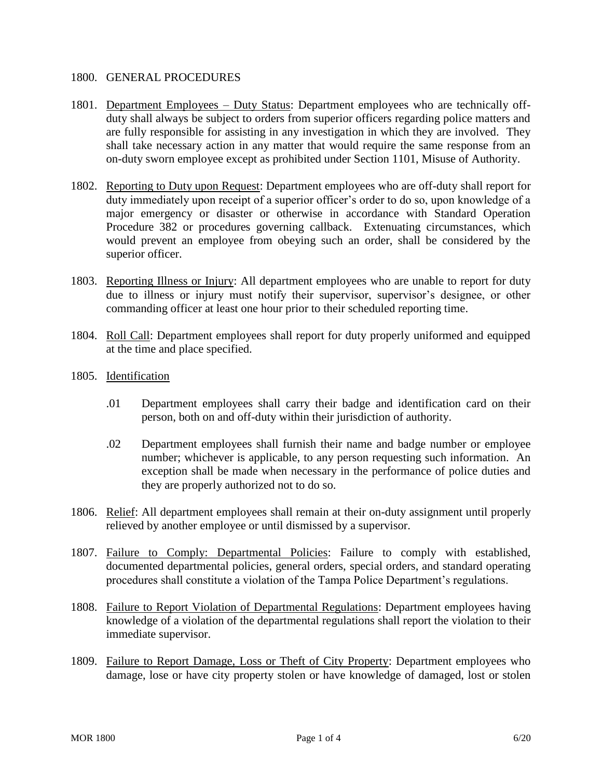## 1800. GENERAL PROCEDURES

- 1801. Department Employees Duty Status: Department employees who are technically offduty shall always be subject to orders from superior officers regarding police matters and are fully responsible for assisting in any investigation in which they are involved. They shall take necessary action in any matter that would require the same response from an on-duty sworn employee except as prohibited under Section 1101, Misuse of Authority.
- 1802. Reporting to Duty upon Request: Department employees who are off-duty shall report for duty immediately upon receipt of a superior officer's order to do so, upon knowledge of a major emergency or disaster or otherwise in accordance with Standard Operation Procedure 382 or procedures governing callback. Extenuating circumstances, which would prevent an employee from obeying such an order, shall be considered by the superior officer.
- 1803. Reporting Illness or Injury: All department employees who are unable to report for duty due to illness or injury must notify their supervisor, supervisor's designee, or other commanding officer at least one hour prior to their scheduled reporting time.
- 1804. Roll Call: Department employees shall report for duty properly uniformed and equipped at the time and place specified.
- 1805. Identification
	- .01 Department employees shall carry their badge and identification card on their person, both on and off-duty within their jurisdiction of authority.
	- .02 Department employees shall furnish their name and badge number or employee number; whichever is applicable, to any person requesting such information. An exception shall be made when necessary in the performance of police duties and they are properly authorized not to do so.
- 1806. Relief: All department employees shall remain at their on-duty assignment until properly relieved by another employee or until dismissed by a supervisor.
- 1807. Failure to Comply: Departmental Policies: Failure to comply with established, documented departmental policies, general orders, special orders, and standard operating procedures shall constitute a violation of the Tampa Police Department's regulations.
- 1808. Failure to Report Violation of Departmental Regulations: Department employees having knowledge of a violation of the departmental regulations shall report the violation to their immediate supervisor.
- 1809. Failure to Report Damage, Loss or Theft of City Property: Department employees who damage, lose or have city property stolen or have knowledge of damaged, lost or stolen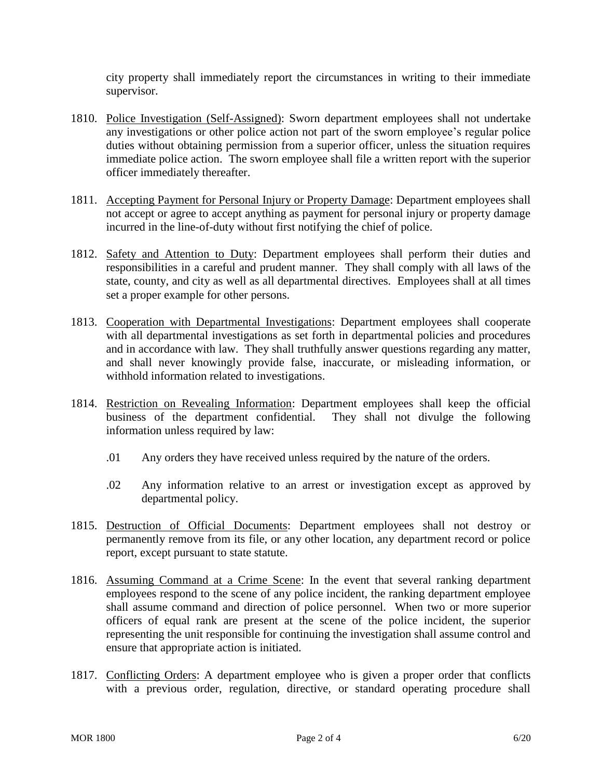city property shall immediately report the circumstances in writing to their immediate supervisor.

- 1810. Police Investigation (Self-Assigned): Sworn department employees shall not undertake any investigations or other police action not part of the sworn employee's regular police duties without obtaining permission from a superior officer, unless the situation requires immediate police action. The sworn employee shall file a written report with the superior officer immediately thereafter.
- 1811. Accepting Payment for Personal Injury or Property Damage: Department employees shall not accept or agree to accept anything as payment for personal injury or property damage incurred in the line-of-duty without first notifying the chief of police.
- 1812. Safety and Attention to Duty: Department employees shall perform their duties and responsibilities in a careful and prudent manner. They shall comply with all laws of the state, county, and city as well as all departmental directives. Employees shall at all times set a proper example for other persons.
- 1813. Cooperation with Departmental Investigations: Department employees shall cooperate with all departmental investigations as set forth in departmental policies and procedures and in accordance with law. They shall truthfully answer questions regarding any matter, and shall never knowingly provide false, inaccurate, or misleading information, or withhold information related to investigations.
- 1814. Restriction on Revealing Information: Department employees shall keep the official business of the department confidential. They shall not divulge the following information unless required by law:
	- .01 Any orders they have received unless required by the nature of the orders.
	- .02 Any information relative to an arrest or investigation except as approved by departmental policy.
- 1815. Destruction of Official Documents: Department employees shall not destroy or permanently remove from its file, or any other location, any department record or police report, except pursuant to state statute.
- 1816. Assuming Command at a Crime Scene: In the event that several ranking department employees respond to the scene of any police incident, the ranking department employee shall assume command and direction of police personnel. When two or more superior officers of equal rank are present at the scene of the police incident, the superior representing the unit responsible for continuing the investigation shall assume control and ensure that appropriate action is initiated.
- 1817. Conflicting Orders: A department employee who is given a proper order that conflicts with a previous order, regulation, directive, or standard operating procedure shall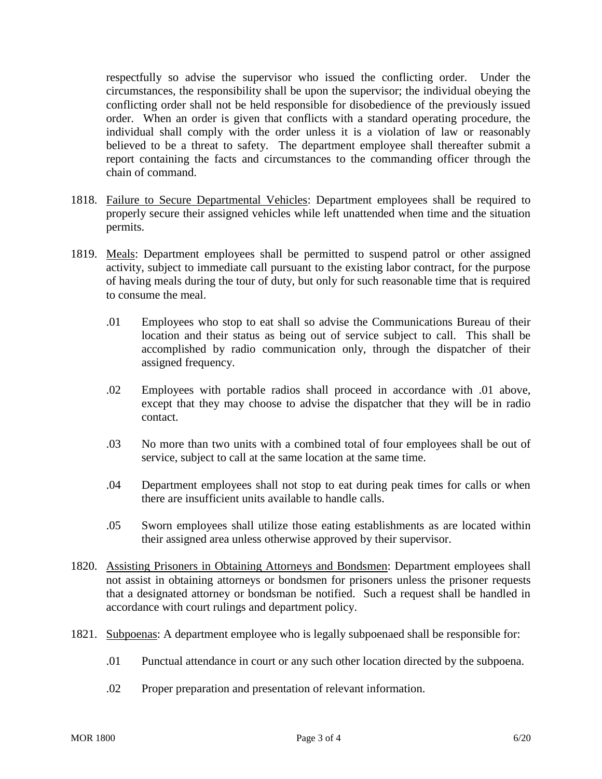respectfully so advise the supervisor who issued the conflicting order. Under the circumstances, the responsibility shall be upon the supervisor; the individual obeying the conflicting order shall not be held responsible for disobedience of the previously issued order. When an order is given that conflicts with a standard operating procedure, the individual shall comply with the order unless it is a violation of law or reasonably believed to be a threat to safety. The department employee shall thereafter submit a report containing the facts and circumstances to the commanding officer through the chain of command.

- 1818. Failure to Secure Departmental Vehicles: Department employees shall be required to properly secure their assigned vehicles while left unattended when time and the situation permits.
- 1819. Meals: Department employees shall be permitted to suspend patrol or other assigned activity, subject to immediate call pursuant to the existing labor contract, for the purpose of having meals during the tour of duty, but only for such reasonable time that is required to consume the meal.
	- .01 Employees who stop to eat shall so advise the Communications Bureau of their location and their status as being out of service subject to call. This shall be accomplished by radio communication only, through the dispatcher of their assigned frequency.
	- .02 Employees with portable radios shall proceed in accordance with .01 above, except that they may choose to advise the dispatcher that they will be in radio contact.
	- .03 No more than two units with a combined total of four employees shall be out of service, subject to call at the same location at the same time.
	- .04 Department employees shall not stop to eat during peak times for calls or when there are insufficient units available to handle calls.
	- .05 Sworn employees shall utilize those eating establishments as are located within their assigned area unless otherwise approved by their supervisor.
- 1820. Assisting Prisoners in Obtaining Attorneys and Bondsmen: Department employees shall not assist in obtaining attorneys or bondsmen for prisoners unless the prisoner requests that a designated attorney or bondsman be notified. Such a request shall be handled in accordance with court rulings and department policy.
- 1821. Subpoenas: A department employee who is legally subpoenaed shall be responsible for:
	- .01 Punctual attendance in court or any such other location directed by the subpoena.
	- .02 Proper preparation and presentation of relevant information.